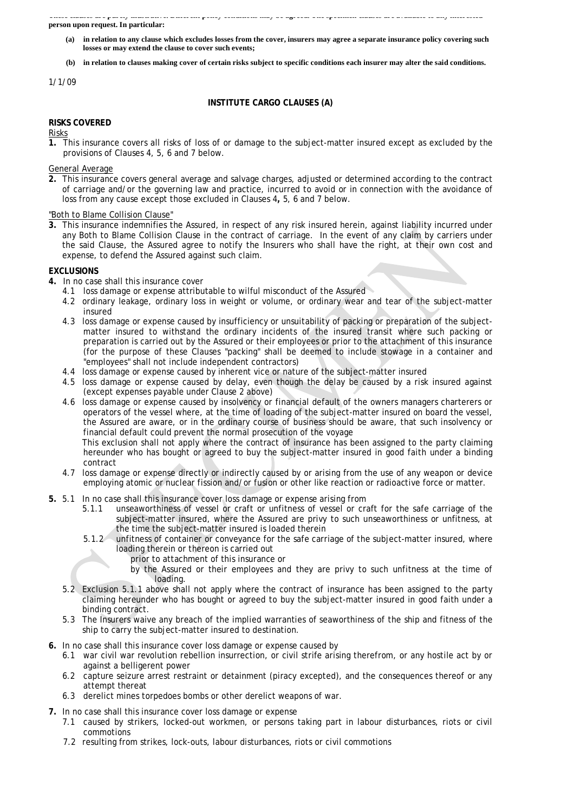A HAST AMMINS WAA PHAAL JAMISM WATAI EEN ALDAAN POHAJ ASHIMMADAD HIMJ ASA WAAASAH A HA SPAAHINSH AM **person upon request. In particular:** 

- (a) in relation to any clause which excludes losses from the cover, insurers may agree a separate insurance policy covering such **losses or may extend the clause to cover such events;**
- (b) in relation to clauses making cover of certain risks subject to specific conditions each insurer may alter the said conditions.

### 1/1/09

# **INSTITUTE CARGO CLAUSES (A)**

# **RISKS COVERED**

Risks

**1.** This insurance covers all risks of loss of or damage to the subject-matter insured except as excluded by the provisions of Clauses 4, 5, 6 and 7 below.

### General Average

**2.** This insurance covers general average and salvage charges, adjusted or determined according to the contract of carriage and/or the governing law and practice, incurred to avoid or in connection with the avoidance of loss from any cause except those excluded in Clauses 4**,** 5, 6 and 7 below.

"Both to Blame Collision Clause"

**3.** This insurance indemnifies the Assured, in respect of any risk insured herein, against liability incurred under any Both to Blame Collision Clause in the contract of carriage. In the event of any claim by carriers under the said Clause, the Assured agree to notify the Insurers who shall have the right, at their own cost and expense, to defend the Assured against such claim.

### **EXCLUSIONS**

- **4.** In no case shall this insurance cover
	- 4.1 loss damage or expense attributable to wilful misconduct of the Assured
	- 4.2 ordinary leakage, ordinary loss in weight or volume, or ordinary wear and tear of the subject-matter insured
	- 4.3 loss damage or expense caused by insufficiency or unsuitability of packing or preparation of the subjectmatter insured to withstand the ordinary incidents of the insured transit where such packing or preparation is carried out by the Assured or their employees or prior to the attachment of this insurance (for the purpose of these Clauses "packing" shall be deemed to include stowage in a container and "employees" shall not include independent contractors)
	- 4.4 loss damage or expense caused by inherent vice or nature of the subject-matter insured
	- 4.5 loss damage or expense caused by delay, even though the delay be caused by a risk insured against (except expenses payable under Clause 2 above)
	- 4.6 loss damage or expense caused by insolvency or financial default of the owners managers charterers or operators of the vessel where, at the time of loading of the subject-matter insured on board the vessel, the Assured are aware, or in the ordinary course of business should be aware, that such insolvency or financial default could prevent the normal prosecution of the voyage

This exclusion shall not apply where the contract of insurance has been assigned to the party claiming hereunder who has bought or agreed to buy the subject-matter insured in good faith under a binding contract

- 4.7 loss damage or expense directly or indirectly caused by or arising from the use of any weapon or device employing atomic or nuclear fission and/or fusion or other like reaction or radioactive force or matter.
- **5.** 5.1 In no case shall this insurance cover loss damage or expense arising from
	- 5.1.1 unseaworthiness of vessel or craft or unfitness of vessel or craft for the safe carriage of the subject-matter insured, where the Assured are privy to such unseaworthiness or unfitness, at the time the subject-matter insured is loaded therein
	- 5.1.2 unfitness of container or conveyance for the safe carriage of the subject-matter insured, where loading therein or thereon is carried out
		- prior to attachment of this insurance or
			- by the Assured or their employees and they are privy to such unfitness at the time of loading.
	- 5.2 Exclusion 5.1.1 above shall not apply where the contract of insurance has been assigned to the party claiming hereunder who has bought or agreed to buy the subject-matter insured in good faith under a binding contract.
	- 5.3 The Insurers waive any breach of the implied warranties of seaworthiness of the ship and fitness of the ship to carry the subject-matter insured to destination.
- **6.** In no case shall this insurance cover loss damage or expense caused by
	- 6.1 war civil war revolution rebellion insurrection, or civil strife arising therefrom, or any hostile act by or against a belligerent power
	- 6.2 capture seizure arrest restraint or detainment (piracy excepted), and the consequences thereof or any attempt thereat
	- 6.3 derelict mines torpedoes bombs or other derelict weapons of war.
- **7.** In no case shall this insurance cover loss damage or expense
	- 7.1 caused by strikers, locked-out workmen, or persons taking part in labour disturbances, riots or civil commotions
	- 7.2 resulting from strikes, lock-outs, labour disturbances, riots or civil commotions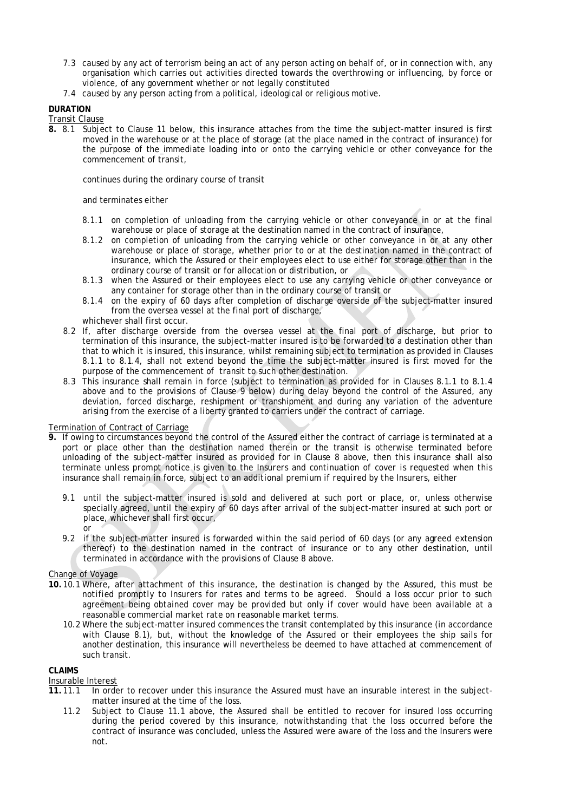- 7.3 caused by any act of terrorism being an act of any person acting on behalf of, or in connection with, any organisation which carries out activities directed towards the overthrowing or influencing, by force or violence, of any government whether or not legally constituted
- 7.4 caused by any person acting from a political, ideological or religious motive.

# **DURATION**

### Transit Clause

**8.** 8.1 Subject to Clause 11 below, this insurance attaches from the time the subject-matter insured is first moved in the warehouse or at the place of storage (at the place named in the contract of insurance) for the purpose of the immediate loading into or onto the carrying vehicle or other conveyance for the commencement of transit,

continues during the ordinary course of transit

### and terminates either

- 8.1.1 on completion of unloading from the carrying vehicle or other conveyance in or at the final warehouse or place of storage at the destination named in the contract of insurance,
- 8.1.2 on completion of unloading from the carrying vehicle or other conveyance in or at any other warehouse or place of storage, whether prior to or at the destination named in the contract of insurance, which the Assured or their employees elect to use either for storage other than in the ordinary course of transit or for allocation or distribution, or
- 8.1.3 when the Assured or their employees elect to use any carrying vehicle or other conveyance or any container for storage other than in the ordinary course of transit or
- 8.1.4 on the expiry of 60 days after completion of discharge overside of the subject-matter insured from the oversea vessel at the final port of discharge,
- whichever shall first occur.
- 8.2 If, after discharge overside from the oversea vessel at the final port of discharge, but prior to termination of this insurance, the subject-matter insured is to be forwarded to a destination other than that to which it is insured, this insurance, whilst remaining subject to termination as provided in Clauses 8.1.1 to 8.1.4, shall not extend beyond the time the subject-matter insured is first moved for the purpose of the commencement of transit to such other destination.
- 8.3 This insurance shall remain in force (subject to termination as provided for in Clauses 8.1.1 to 8.1.4 above and to the provisions of Clause 9 below) during delay beyond the control of the Assured, any deviation, forced discharge, reshipment or transhipment and during any variation of the adventure arising from the exercise of a liberty granted to carriers under the contract of carriage.

# Termination of Contract of Carriage

- **9.** If owing to circumstances beyond the control of the Assured either the contract of carriage is terminated at a port or place other than the destination named therein or the transit is otherwise terminated before unloading of the subject-matter insured as provided for in Clause 8 above, then this insurance shall also terminate *unless prompt notice is given to the Insurers and continuation of cover is requested when this insurance shall remain in force, subject to an additional premium if required by the Insurers*, either
	- 9.1 until the subject-matter insured is sold and delivered at such port or place, or, unless otherwise specially agreed, until the expiry of 60 days after arrival of the subject-matter insured at such port or place, whichever shall first occur, or
	- 9.2 if the subject-matter insured is forwarded within the said period of 60 days (or any agreed extension thereof) to the destination named in the contract of insurance or to any other destination, until terminated in accordance with the provisions of Clause 8 above.

# Change of Voyage

- **10.** 10.1 Where, after attachment of this insurance, the destination is changed by the Assured, *this must be notified promptly to Insurers for rates and terms to be agreed. Should a loss occur prior to such agreement being obtained cover may be provided but only if cover would have been available at a reasonable commercial market rate on reasonable market terms.* 
	- 10.2 Where the subject-matter insured commences the transit contemplated by this insurance (in accordance with Clause 8.1), but, without the knowledge of the Assured or their employees the ship sails for another destination, this insurance will nevertheless be deemed to have attached at commencement of such transit.

# **CLAIMS**

# Insurable Interest

- **11.** 11.1 In order to recover under this insurance the Assured must have an insurable interest in the subjectmatter insured at the time of the loss.
	- 11.2 Subject to Clause 11.1 above, the Assured shall be entitled to recover for insured loss occurring during the period covered by this insurance, notwithstanding that the loss occurred before the contract of insurance was concluded, unless the Assured were aware of the loss and the Insurers were not.